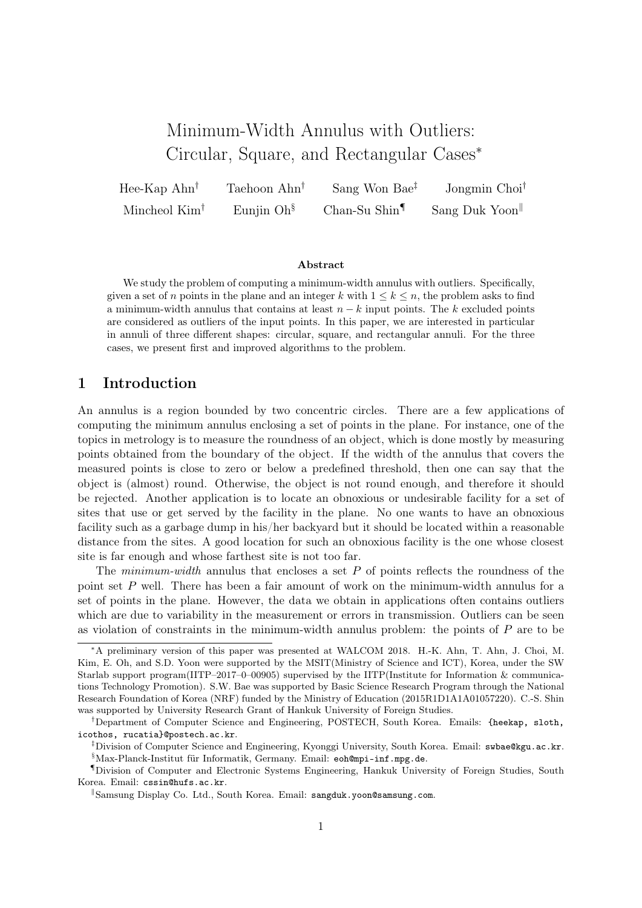# Minimum-Width Annulus with Outliers: Circular, Square, and Rectangular Cases<sup>∗</sup>

Hee-Kap Ahn† Taehoon Ahn† Sang Won Bae‡ Jongmin Choi† Mincheol Kim<sup>†</sup> Eunjin Oh<sup>§</sup> Chan-Su Shin<sup>¶</sup> Sang Duk Yoon<sup>||</sup>

#### Abstract

We study the problem of computing a minimum-width annulus with outliers. Specifically, given a set of n points in the plane and an integer k with  $1 \leq k \leq n$ , the problem asks to find a minimum-width annulus that contains at least  $n - k$  input points. The k excluded points are considered as outliers of the input points. In this paper, we are interested in particular in annuli of three different shapes: circular, square, and rectangular annuli. For the three cases, we present first and improved algorithms to the problem.

# 1 Introduction

An annulus is a region bounded by two concentric circles. There are a few applications of computing the minimum annulus enclosing a set of points in the plane. For instance, one of the topics in metrology is to measure the roundness of an object, which is done mostly by measuring points obtained from the boundary of the object. If the width of the annulus that covers the measured points is close to zero or below a predefined threshold, then one can say that the object is (almost) round. Otherwise, the object is not round enough, and therefore it should be rejected. Another application is to locate an obnoxious or undesirable facility for a set of sites that use or get served by the facility in the plane. No one wants to have an obnoxious facility such as a garbage dump in his/her backyard but it should be located within a reasonable distance from the sites. A good location for such an obnoxious facility is the one whose closest site is far enough and whose farthest site is not too far.

The *minimum-width* annulus that encloses a set  $P$  of points reflects the roundness of the point set P well. There has been a fair amount of work on the minimum-width annulus for a set of points in the plane. However, the data we obtain in applications often contains outliers which are due to variability in the measurement or errors in transmission. Outliers can be seen as violation of constraints in the minimum-width annulus problem: the points of  $P$  are to be

<sup>∗</sup>A preliminary version of this paper was presented at WALCOM 2018. H.-K. Ahn, T. Ahn, J. Choi, M. Kim, E. Oh, and S.D. Yoon were supported by the MSIT(Ministry of Science and ICT), Korea, under the SW Starlab support program(IITP–2017–0–00905) supervised by the IITP(Institute for Information  $\&$  communications Technology Promotion). S.W. Bae was supported by Basic Science Research Program through the National Research Foundation of Korea (NRF) funded by the Ministry of Education (2015R1D1A1A01057220). C.-S. Shin was supported by University Research Grant of Hankuk University of Foreign Studies.

<sup>†</sup>Department of Computer Science and Engineering, POSTECH, South Korea. Emails: {heekap, sloth, icothos, rucatia}@postech.ac.kr.

<sup>‡</sup>Division of Computer Science and Engineering, Kyonggi University, South Korea. Email: swbae@kgu.ac.kr. §Max-Planck-Institut für Informatik, Germany. Email: eoh@mpi-inf.mpg.de.

<sup>¶</sup>Division of Computer and Electronic Systems Engineering, Hankuk University of Foreign Studies, South Korea. Email: cssin@hufs.ac.kr.

<sup>&</sup>lt;sup>8</sup>Samsung Display Co. Ltd., South Korea. Email: sangduk.yoon@samsung.com.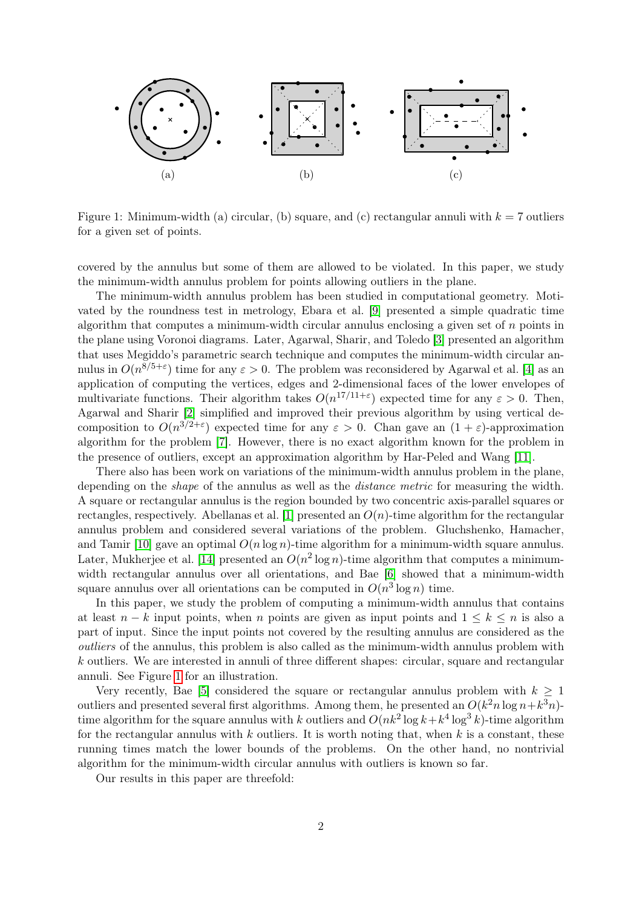

<span id="page-1-0"></span>Figure 1: Minimum-width (a) circular, (b) square, and (c) rectangular annuli with  $k = 7$  outliers for a given set of points.

covered by the annulus but some of them are allowed to be violated. In this paper, we study the minimum-width annulus problem for points allowing outliers in the plane.

The minimum-width annulus problem has been studied in computational geometry. Motivated by the roundness test in metrology, Ebara et al. [\[9\]](#page-12-0) presented a simple quadratic time algorithm that computes a minimum-width circular annulus enclosing a given set of  $n$  points in the plane using Voronoi diagrams. Later, Agarwal, Sharir, and Toledo [\[3\]](#page-12-1) presented an algorithm that uses Megiddo's parametric search technique and computes the minimum-width circular annulus in  $O(n^{8/5+\epsilon})$  time for any  $\epsilon > 0$ . The problem was reconsidered by Agarwal et al. [\[4\]](#page-12-2) as an application of computing the vertices, edges and 2-dimensional faces of the lower envelopes of multivariate functions. Their algorithm takes  $O(n^{17/11+\epsilon})$  expected time for any  $\epsilon > 0$ . Then, Agarwal and Sharir [\[2\]](#page-12-3) simplified and improved their previous algorithm by using vertical decomposition to  $O(n^{3/2+\epsilon})$  expected time for any  $\epsilon > 0$ . Chan gave an  $(1+\epsilon)$ -approximation algorithm for the problem [\[7\]](#page-12-4). However, there is no exact algorithm known for the problem in the presence of outliers, except an approximation algorithm by Har-Peled and Wang [\[11\]](#page-12-5).

There also has been work on variations of the minimum-width annulus problem in the plane, depending on the *shape* of the annulus as well as the *distance metric* for measuring the width. A square or rectangular annulus is the region bounded by two concentric axis-parallel squares or rectangles, respectively. Abellanas et al. [\[1\]](#page-12-6) presented an  $O(n)$ -time algorithm for the rectangular annulus problem and considered several variations of the problem. Gluchshenko, Hamacher, and Tamir [\[10\]](#page-12-7) gave an optimal  $O(n \log n)$ -time algorithm for a minimum-width square annulus. Later, Mukherjee et al. [\[14\]](#page-12-8) presented an  $O(n^2 \log n)$ -time algorithm that computes a minimumwidth rectangular annulus over all orientations, and Bae [\[6\]](#page-12-9) showed that a minimum-width square annulus over all orientations can be computed in  $O(n^3 \log n)$  time.

In this paper, we study the problem of computing a minimum-width annulus that contains at least  $n - k$  input points, when n points are given as input points and  $1 \leq k \leq n$  is also a part of input. Since the input points not covered by the resulting annulus are considered as the outliers of the annulus, this problem is also called as the minimum-width annulus problem with k outliers. We are interested in annuli of three different shapes: circular, square and rectangular annuli. See Figure [1](#page-1-0) for an illustration.

Very recently, Bae [\[5\]](#page-12-10) considered the square or rectangular annulus problem with  $k \geq 1$ outliers and presented several first algorithms. Among them, he presented an  $O(k^2 n \log n + k^3 n)$ time algorithm for the square annulus with k outliers and  $O(nk^2 \log k + k^4 \log^3 k)$ -time algorithm for the rectangular annulus with  $k$  outliers. It is worth noting that, when  $k$  is a constant, these running times match the lower bounds of the problems. On the other hand, no nontrivial algorithm for the minimum-width circular annulus with outliers is known so far.

Our results in this paper are threefold: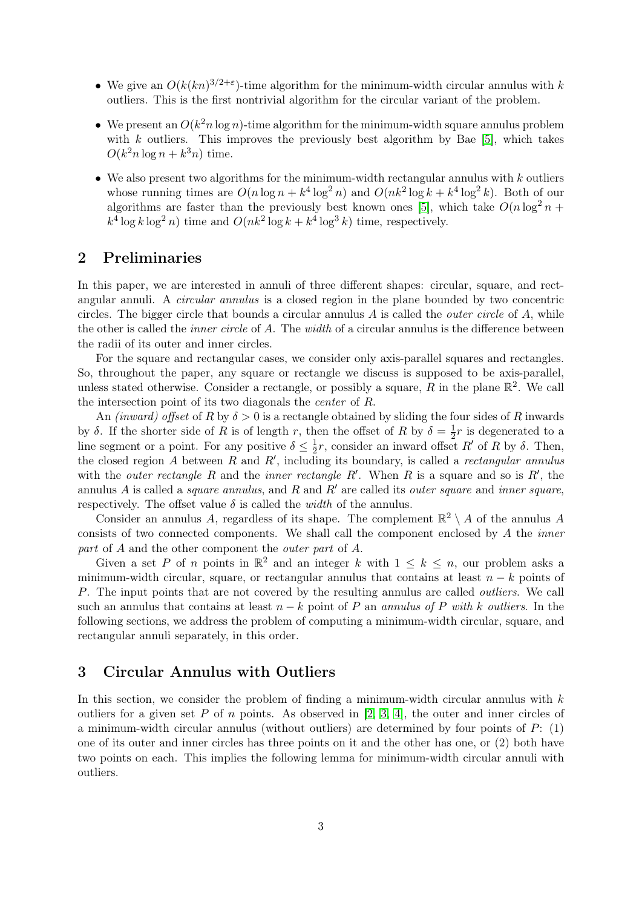- We give an  $O(k(kn)^{3/2+\epsilon})$ -time algorithm for the minimum-width circular annulus with k outliers. This is the first nontrivial algorithm for the circular variant of the problem.
- We present an  $O(k^2 n \log n)$ -time algorithm for the minimum-width square annulus problem with k outliers. This improves the previously best algorithm by Bae [\[5\]](#page-12-10), which takes  $O(k^2 n \log n + k^3 n)$  time.
- We also present two algorithms for the minimum-width rectangular annulus with  $k$  outliers whose running times are  $O(n \log n + k^4 \log^2 n)$  and  $O(nk^2 \log k + k^4 \log^2 k)$ . Both of our algorithms are faster than the previously best known ones [\[5\]](#page-12-10), which take  $O(n \log^2 n +$  $k^4 \log k \log^2 n$ ) time and  $O(nk^2 \log k + k^4 \log^3 k)$  time, respectively.

# 2 Preliminaries

In this paper, we are interested in annuli of three different shapes: circular, square, and rectangular annuli. A circular annulus is a closed region in the plane bounded by two concentric circles. The bigger circle that bounds a circular annulus  $A$  is called the *outer circle* of  $A$ , while the other is called the *inner circle* of A. The *width* of a circular annulus is the difference between the radii of its outer and inner circles.

For the square and rectangular cases, we consider only axis-parallel squares and rectangles. So, throughout the paper, any square or rectangle we discuss is supposed to be axis-parallel, unless stated otherwise. Consider a rectangle, or possibly a square, R in the plane  $\mathbb{R}^2$ . We call the intersection point of its two diagonals the center of R.

An *(inward)* offset of R by  $\delta > 0$  is a rectangle obtained by sliding the four sides of R inwards by δ. If the shorter side of R is of length r, then the offset of R by  $\delta = \frac{1}{2}$  $\frac{1}{2}r$  is degenerated to a line segment or a point. For any positive  $\delta \leq \frac{1}{2}$  $\frac{1}{2}r$ , consider an inward offset R' of R by  $\delta$ . Then, the closed region A between R and R', including its boundary, is called a rectangular annulus with the *outer rectangle* R and the *inner rectangle* R'. When R is a square and so is R', the annulus A is called a *square annulus*, and R and R' are called its *outer square* and *inner square*, respectively. The offset value  $\delta$  is called the *width* of the annulus.

Consider an annulus A, regardless of its shape. The complement  $\mathbb{R}^2 \setminus A$  of the annulus A consists of two connected components. We shall call the component enclosed by A the inner part of A and the other component the outer part of A.

Given a set P of n points in  $\mathbb{R}^2$  and an integer k with  $1 \leq k \leq n$ , our problem asks a minimum-width circular, square, or rectangular annulus that contains at least  $n - k$  points of P. The input points that are not covered by the resulting annulus are called outliers. We call such an annulus that contains at least  $n - k$  point of P an annulus of P with k outliers. In the following sections, we address the problem of computing a minimum-width circular, square, and rectangular annuli separately, in this order.

# 3 Circular Annulus with Outliers

In this section, we consider the problem of finding a minimum-width circular annulus with  $k$ outliers for a given set P of n points. As observed in  $[2, 3, 4]$  $[2, 3, 4]$  $[2, 3, 4]$ , the outer and inner circles of a minimum-width circular annulus (without outliers) are determined by four points of  $P: (1)$ one of its outer and inner circles has three points on it and the other has one, or (2) both have two points on each. This implies the following lemma for minimum-width circular annuli with outliers.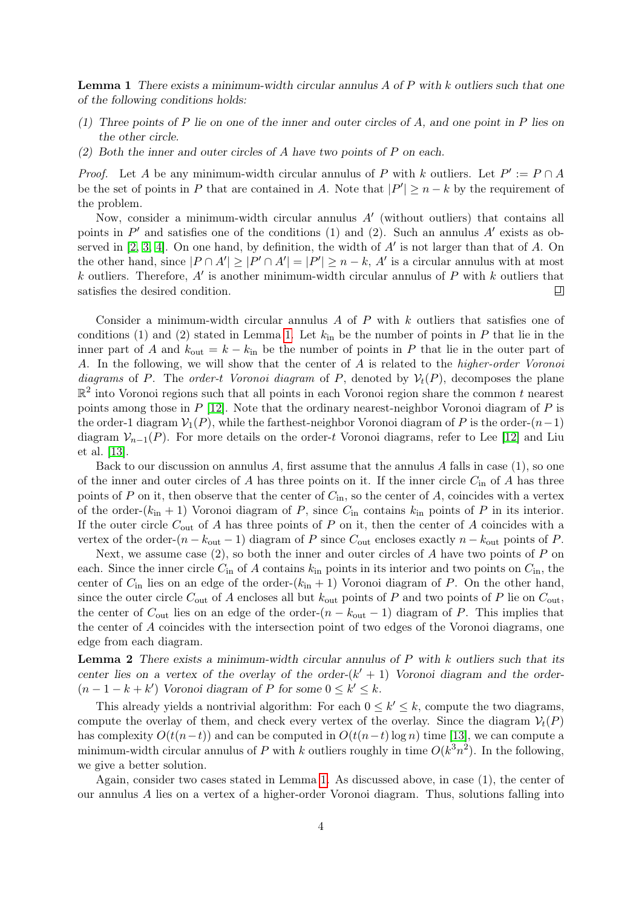<span id="page-3-0"></span>**Lemma 1** There exists a minimum-width circular annulus A of P with k outliers such that one of the following conditions holds:

- (1) Three points of P lie on one of the inner and outer circles of A, and one point in P lies on the other circle.
- $(2)$  Both the inner and outer circles of A have two points of P on each.

*Proof.* Let A be any minimum-width circular annulus of P with k outliers. Let  $P' := P \cap A$ be the set of points in P that are contained in A. Note that  $|P'| \geq n - k$  by the requirement of the problem.

Now, consider a minimum-width circular annulus  $A'$  (without outliers) that contains all points in  $P'$  and satisfies one of the conditions (1) and (2). Such an annulus A' exists as ob-served in [\[2,](#page-12-3) [3,](#page-12-1) [4\]](#page-12-2). On one hand, by definition, the width of  $A'$  is not larger than that of  $A$ . On the other hand, since  $|P \cap A'| \geq |P' \cap A'| = |P'| \geq n - k$ , A' is a circular annulus with at most k outliers. Therefore,  $A'$  is another minimum-width circular annulus of  $P$  with k outliers that satisfies the desired condition.  $\Box$ 

Consider a minimum-width circular annulus  $A$  of  $P$  with  $k$  outliers that satisfies one of conditions (1) and (2) stated in Lemma [1.](#page-3-0) Let  $k_{\text{in}}$  be the number of points in P that lie in the inner part of A and  $k_{\text{out}} = k - k_{\text{in}}$  be the number of points in P that lie in the outer part of A. In the following, we will show that the center of A is related to the higher-order Voronoi diagrams of P. The order-t Voronoi diagram of P, denoted by  $\mathcal{V}_t(P)$ , decomposes the plane  $\mathbb{R}^2$  into Voronoi regions such that all points in each Voronoi region share the common t nearest points among those in  $P$  [\[12\]](#page-12-11). Note that the ordinary nearest-neighbor Voronoi diagram of  $P$  is the order-1 diagram  $\mathcal{V}_1(P)$ , while the farthest-neighbor Voronoi diagram of P is the order- $(n-1)$ diagram  $\mathcal{V}_{n-1}(P)$ . For more details on the order-t Voronoi diagrams, refer to Lee [\[12\]](#page-12-11) and Liu et al. [\[13\]](#page-12-12).

Back to our discussion on annulus  $A$ , first assume that the annulus  $A$  falls in case (1), so one of the inner and outer circles of A has three points on it. If the inner circle  $C_{\text{in}}$  of A has three points of P on it, then observe that the center of  $C_{\text{in}}$ , so the center of A, coincides with a vertex of the order- $(k_{\text{in}} + 1)$  Voronoi diagram of P, since  $C_{\text{in}}$  contains  $k_{\text{in}}$  points of P in its interior. If the outer circle  $C_{\text{out}}$  of A has three points of P on it, then the center of A coincides with a vertex of the order- $(n - k_{\text{out}} - 1)$  diagram of P since  $C_{\text{out}}$  encloses exactly  $n - k_{\text{out}}$  points of P.

Next, we assume case  $(2)$ , so both the inner and outer circles of A have two points of P on each. Since the inner circle  $C_{\text{in}}$  of A contains  $k_{\text{in}}$  points in its interior and two points on  $C_{\text{in}}$ , the center of  $C_{\text{in}}$  lies on an edge of the order- $(k_{\text{in}} + 1)$  Voronoi diagram of P. On the other hand, since the outer circle  $C_{\text{out}}$  of A encloses all but  $k_{\text{out}}$  points of P and two points of P lie on  $C_{\text{out}}$ , the center of  $C_{\text{out}}$  lies on an edge of the order- $(n - k_{\text{out}} - 1)$  diagram of P. This implies that the center of A coincides with the intersection point of two edges of the Voronoi diagrams, one edge from each diagram.

**Lemma 2** There exists a minimum-width circular annulus of  $P$  with  $k$  outliers such that its center lies on a vertex of the overlay of the order- $(k' + 1)$  Voronoi diagram and the order- $(n-1-k+k')$  Voronoi diagram of P for some  $0 \leq k' \leq k$ .

This already yields a nontrivial algorithm: For each  $0 \leq k' \leq k$ , compute the two diagrams, compute the overlay of them, and check every vertex of the overlay. Since the diagram  $\mathcal{V}_t(P)$ has complexity  $O(t(n-t))$  and can be computed in  $O(t(n-t) \log n)$  time [\[13\]](#page-12-12), we can compute a minimum-width circular annulus of P with k outliers roughly in time  $O(k^3n^2)$ . In the following, we give a better solution.

Again, consider two cases stated in Lemma [1.](#page-3-0) As discussed above, in case (1), the center of our annulus A lies on a vertex of a higher-order Voronoi diagram. Thus, solutions falling into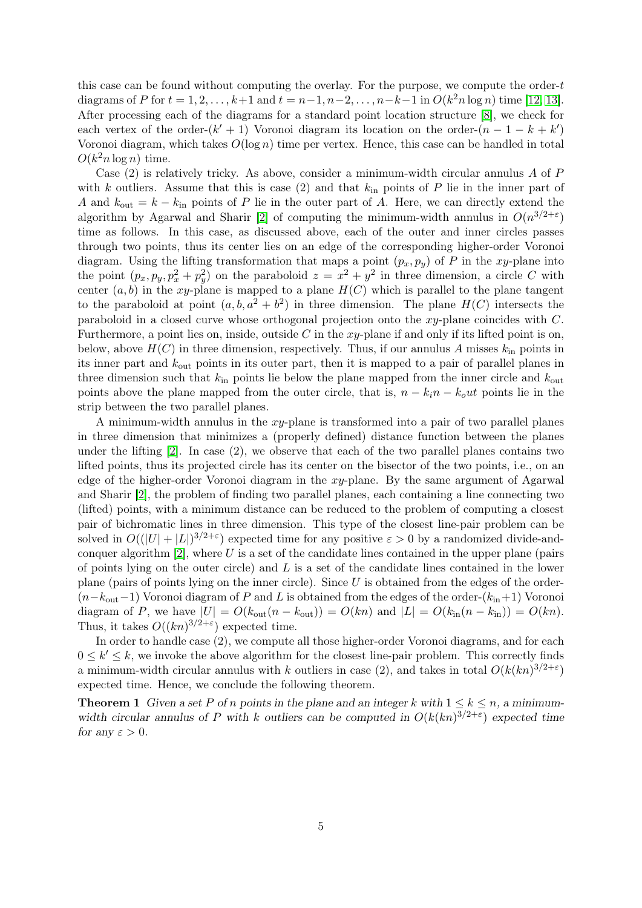this case can be found without computing the overlay. For the purpose, we compute the order-t diagrams of P for  $t = 1, 2, ..., k+1$  and  $t = n-1, n-2, ..., n-k-1$  in  $O(k^2 n \log n)$  time [\[12,](#page-12-11) [13\]](#page-12-12). After processing each of the diagrams for a standard point location structure [\[8\]](#page-12-13), we check for each vertex of the order- $(k' + 1)$  Voronoi diagram its location on the order- $(n - 1 - k + k')$ Voronoi diagram, which takes  $O(\log n)$  time per vertex. Hence, this case can be handled in total  $O(k^2 n \log n)$  time.

Case  $(2)$  is relatively tricky. As above, consider a minimum-width circular annulus A of P with k outliers. Assume that this is case (2) and that  $k_{\text{in}}$  points of P lie in the inner part of A and  $k_{\text{out}} = k - k_{\text{in}}$  points of P lie in the outer part of A. Here, we can directly extend the algorithm by Agarwal and Sharir [\[2\]](#page-12-3) of computing the minimum-width annulus in  $O(n^{3/2+\epsilon})$ time as follows. In this case, as discussed above, each of the outer and inner circles passes through two points, thus its center lies on an edge of the corresponding higher-order Voronoi diagram. Using the lifting transformation that maps a point  $(p_x, p_y)$  of P in the xy-plane into the point  $(p_x, p_y, p_x^2 + p_y^2)$  on the paraboloid  $z = x^2 + y^2$  in three dimension, a circle C with center  $(a, b)$  in the xy-plane is mapped to a plane  $H(C)$  which is parallel to the plane tangent to the paraboloid at point  $(a, b, a^2 + b^2)$  in three dimension. The plane  $H(C)$  intersects the paraboloid in a closed curve whose orthogonal projection onto the xy-plane coincides with C. Furthermore, a point lies on, inside, outside C in the  $xy$ -plane if and only if its lifted point is on, below, above  $H(C)$  in three dimension, respectively. Thus, if our annulus A misses  $k_{\text{in}}$  points in its inner part and kout points in its outer part, then it is mapped to a pair of parallel planes in three dimension such that  $k_{\text{in}}$  points lie below the plane mapped from the inner circle and  $k_{\text{out}}$ points above the plane mapped from the outer circle, that is,  $n - k_i n - k_0 u t$  points lie in the strip between the two parallel planes.

A minimum-width annulus in the  $xy$ -plane is transformed into a pair of two parallel planes in three dimension that minimizes a (properly defined) distance function between the planes under the lifting [\[2\]](#page-12-3). In case (2), we observe that each of the two parallel planes contains two lifted points, thus its projected circle has its center on the bisector of the two points, i.e., on an edge of the higher-order Voronoi diagram in the  $xy$ -plane. By the same argument of Agarwal and Sharir [\[2\]](#page-12-3), the problem of finding two parallel planes, each containing a line connecting two (lifted) points, with a minimum distance can be reduced to the problem of computing a closest pair of bichromatic lines in three dimension. This type of the closest line-pair problem can be solved in  $O((|U|+|L|)^{3/2+\epsilon})$  expected time for any positive  $\epsilon > 0$  by a randomized divide-andconquer algorithm  $[2]$ , where U is a set of the candidate lines contained in the upper plane (pairs of points lying on the outer circle) and  $L$  is a set of the candidate lines contained in the lower plane (pairs of points lying on the inner circle). Since  $U$  is obtained from the edges of the order- $(n-k_{\text{out}}-1)$  Voronoi diagram of P and L is obtained from the edges of the order- $(k_{\text{in}}+1)$  Voronoi diagram of P, we have  $|U| = O(k_{\text{out}}(n - k_{\text{out}})) = O(kn)$  and  $|L| = O(k_{\text{in}}(n - k_{\text{in}})) = O(kn)$ . Thus, it takes  $O((kn)^{3/2+\epsilon})$  expected time.

In order to handle case (2), we compute all those higher-order Voronoi diagrams, and for each  $0 \leq k' \leq k$ , we invoke the above algorithm for the closest line-pair problem. This correctly finds a minimum-width circular annulus with k outliers in case (2), and takes in total  $O(k(kn)^{3/2+\epsilon})$ expected time. Hence, we conclude the following theorem.

**Theorem 1** Given a set P of n points in the plane and an integer k with  $1 \leq k \leq n$ , a minimumwidth circular annulus of P with k outliers can be computed in  $O(k(kn)^{3/2+\epsilon})$  expected time for any  $\varepsilon > 0$ .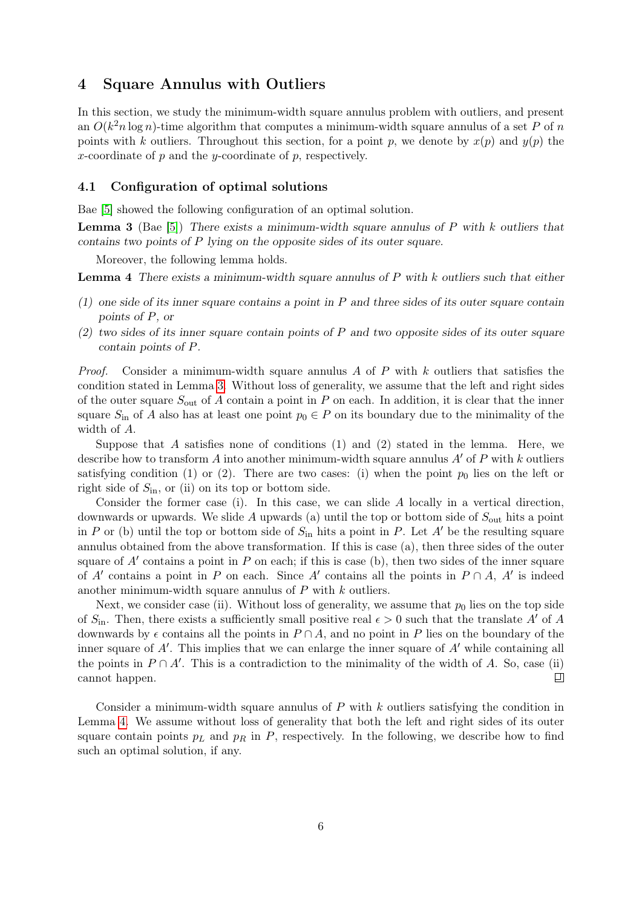# 4 Square Annulus with Outliers

In this section, we study the minimum-width square annulus problem with outliers, and present an  $O(k^2 n \log n)$ -time algorithm that computes a minimum-width square annulus of a set P of n points with k outliers. Throughout this section, for a point p, we denote by  $x(p)$  and  $y(p)$  the x-coordinate of  $p$  and the y-coordinate of  $p$ , respectively.

#### 4.1 Configuration of optimal solutions

Bae [\[5\]](#page-12-10) showed the following configuration of an optimal solution.

<span id="page-5-0"></span>**Lemma 3** (Bae [\[5\]](#page-12-10)) There exists a minimum-width square annulus of P with k outliers that contains two points of P lying on the opposite sides of its outer square.

Moreover, the following lemma holds.

<span id="page-5-1"></span>**Lemma 4** There exists a minimum-width square annulus of  $P$  with  $k$  outliers such that either

- $(1)$  one side of its inner square contains a point in P and three sides of its outer square contain points of P, or
- (2) two sides of its inner square contain points of P and two opposite sides of its outer square contain points of P.

*Proof.* Consider a minimum-width square annulus A of P with k outliers that satisfies the condition stated in Lemma [3.](#page-5-0) Without loss of generality, we assume that the left and right sides of the outer square  $S_{\text{out}}$  of A contain a point in P on each. In addition, it is clear that the inner square  $S_{\text{in}}$  of A also has at least one point  $p_0 \in P$  on its boundary due to the minimality of the width of A.

Suppose that A satisfies none of conditions  $(1)$  and  $(2)$  stated in the lemma. Here, we describe how to transform A into another minimum-width square annulus  $A'$  of P with k outliers satisfying condition (1) or (2). There are two cases: (i) when the point  $p_0$  lies on the left or right side of  $S_{\text{in}}$ , or (ii) on its top or bottom side.

Consider the former case (i). In this case, we can slide A locally in a vertical direction, downwards or upwards. We slide A upwards (a) until the top or bottom side of  $S_{\text{out}}$  hits a point in P or (b) until the top or bottom side of  $S_{\text{in}}$  hits a point in P. Let A' be the resulting square annulus obtained from the above transformation. If this is case (a), then three sides of the outer square of  $A'$  contains a point in  $P$  on each; if this is case (b), then two sides of the inner square of A' contains a point in P on each. Since A' contains all the points in  $P \cap A$ , A' is indeed another minimum-width square annulus of  $P$  with  $k$  outliers.

Next, we consider case (ii). Without loss of generality, we assume that  $p_0$  lies on the top side of  $S_{\text{in}}$ . Then, there exists a sufficiently small positive real  $\epsilon > 0$  such that the translate A' of A downwards by  $\epsilon$  contains all the points in  $P \cap A$ , and no point in P lies on the boundary of the inner square of  $A'$ . This implies that we can enlarge the inner square of  $A'$  while containing all the points in  $P \cap A'$ . This is a contradiction to the minimality of the width of A. So, case (ii) 口 cannot happen.

Consider a minimum-width square annulus of  $P$  with  $k$  outliers satisfying the condition in Lemma [4.](#page-5-1) We assume without loss of generality that both the left and right sides of its outer square contain points  $p<sub>L</sub>$  and  $p<sub>R</sub>$  in P, respectively. In the following, we describe how to find such an optimal solution, if any.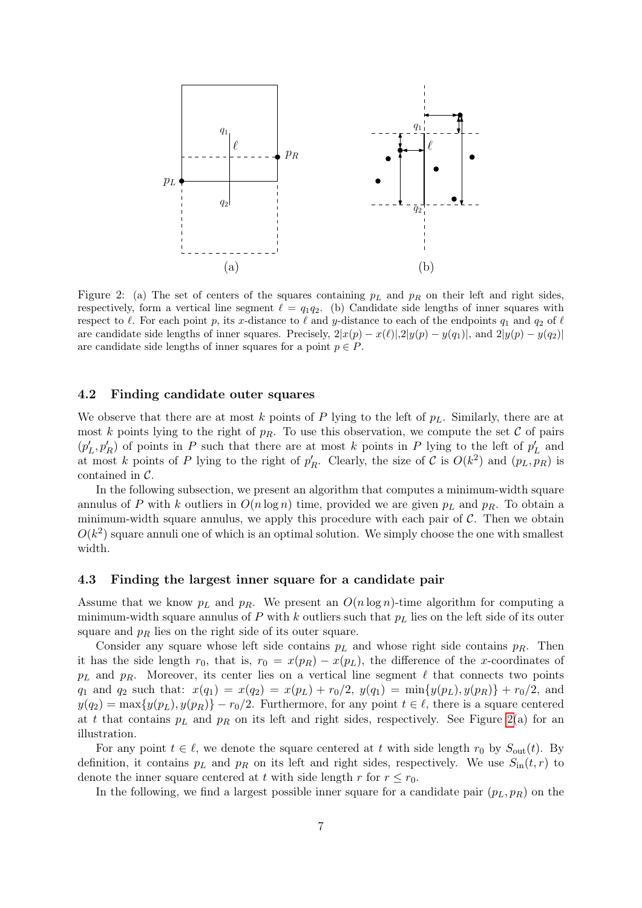

<span id="page-6-0"></span>Figure 2: (a) The set of centers of the squares containing  $p<sub>L</sub>$  and  $p<sub>R</sub>$  on their left and right sides, respectively, form a vertical line segment  $\ell = q_1q_2$ . (b) Candidate side lengths of inner squares with respect to  $\ell$ . For each point p, its x-distance to  $\ell$  and y-distance to each of the endpoints  $q_1$  and  $q_2$  of  $\ell$ are candidate side lengths of inner squares. Precisely,  $2|x(p) - x(\ell)|$ ,  $2|y(p) - y(q_1)|$ , and  $2|y(p) - y(q_2)|$ are candidate side lengths of inner squares for a point  $p \in P$ .

#### <span id="page-6-1"></span>4.2 Finding candidate outer squares

We observe that there are at most k points of P lying to the left of  $p<sub>L</sub>$ . Similarly, there are at most k points lying to the right of  $p_R$ . To use this observation, we compute the set C of pairs  $(p'_L, p'_R)$  of points in P such that there are at most k points in P lying to the left of  $p'_L$  and at most k points of P lying to the right of  $p'_R$ . Clearly, the size of C is  $O(k^2)$  and  $(p_L, p_R)$  is contained in C.

In the following subsection, we present an algorithm that computes a minimum-width square annulus of P with k outliers in  $O(n \log n)$  time, provided we are given  $p_L$  and  $p_R$ . To obtain a minimum-width square annulus, we apply this procedure with each pair of  $\mathcal{C}$ . Then we obtain  $O(k^2)$  square annuli one of which is an optimal solution. We simply choose the one with smallest width.

#### 4.3 Finding the largest inner square for a candidate pair

Assume that we know  $p_L$  and  $p_R$ . We present an  $O(n \log n)$ -time algorithm for computing a minimum-width square annulus of P with k outliers such that  $p<sub>L</sub>$  lies on the left side of its outer square and  $p_R$  lies on the right side of its outer square.

Consider any square whose left side contains  $p<sub>L</sub>$  and whose right side contains  $p<sub>R</sub>$ . Then it has the side length  $r_0$ , that is,  $r_0 = x(p_R) - x(p_L)$ , the difference of the x-coordinates of  $p<sub>L</sub>$  and  $p<sub>R</sub>$ . Moreover, its center lies on a vertical line segment  $\ell$  that connects two points  $q_1$  and  $q_2$  such that:  $x(q_1) = x(q_2) = x(p_L) + r_0/2$ ,  $y(q_1) = \min\{y(p_L), y(p_R)\} + r_0/2$ , and  $y(q_2) = \max\{y(p_L), y(p_R)\} - r_0/2$ . Furthermore, for any point  $t \in \ell$ , there is a square centered at t that contains  $p<sub>L</sub>$  and  $p<sub>R</sub>$  on its left and right sides, respectively. See Figure [2\(](#page-6-0)a) for an illustration.

For any point  $t \in \ell$ , we denote the square centered at t with side length  $r_0$  by  $S_{\text{out}}(t)$ . By definition, it contains  $p<sub>L</sub>$  and  $p<sub>R</sub>$  on its left and right sides, respectively. We use  $S<sub>in</sub>(t,r)$  to denote the inner square centered at t with side length r for  $r \leq r_0$ .

In the following, we find a largest possible inner square for a candidate pair  $(p_L, p_R)$  on the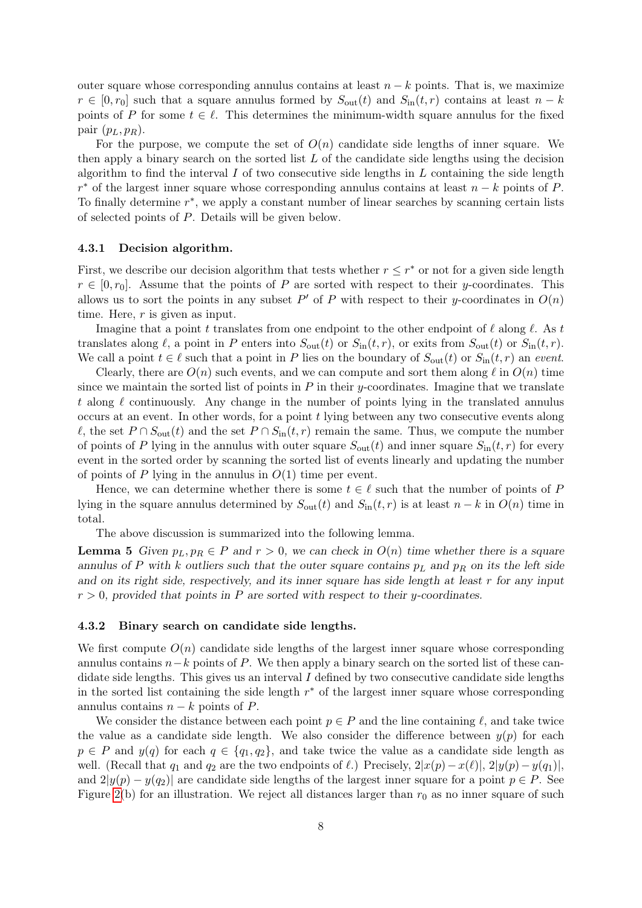outer square whose corresponding annulus contains at least  $n - k$  points. That is, we maximize  $r \in [0, r_0]$  such that a square annulus formed by  $S_{\text{out}}(t)$  and  $S_{\text{in}}(t, r)$  contains at least  $n - k$ points of P for some  $t \in \ell$ . This determines the minimum-width square annulus for the fixed pair  $(p_L, p_R)$ .

For the purpose, we compute the set of  $O(n)$  candidate side lengths of inner square. We then apply a binary search on the sorted list  $L$  of the candidate side lengths using the decision algorithm to find the interval  $I$  of two consecutive side lengths in  $L$  containing the side length  $r^*$  of the largest inner square whose corresponding annulus contains at least  $n - k$  points of P. To finally determine  $r^*$ , we apply a constant number of linear searches by scanning certain lists of selected points of P. Details will be given below.

#### 4.3.1 Decision algorithm.

First, we describe our decision algorithm that tests whether  $r \leq r^*$  or not for a given side length  $r \in [0, r_0]$ . Assume that the points of P are sorted with respect to their y-coordinates. This allows us to sort the points in any subset  $P'$  of P with respect to their y-coordinates in  $O(n)$ time. Here,  $r$  is given as input.

Imagine that a point t translates from one endpoint to the other endpoint of  $\ell$  along  $\ell$ . As t translates along  $\ell$ , a point in P enters into  $S_{\text{out}}(t)$  or  $S_{\text{in}}(t, r)$ , or exits from  $S_{\text{out}}(t)$  or  $S_{\text{in}}(t, r)$ . We call a point  $t \in \ell$  such that a point in P lies on the boundary of  $S_{\text{out}}(t)$  or  $S_{\text{in}}(t, r)$  an event.

Clearly, there are  $O(n)$  such events, and we can compute and sort them along  $\ell$  in  $O(n)$  time since we maintain the sorted list of points in  $P$  in their y-coordinates. Imagine that we translate t along  $\ell$  continuously. Any change in the number of points lying in the translated annulus occurs at an event. In other words, for a point t lying between any two consecutive events along  $\ell$ , the set  $P \cap S_{\text{out}}(t)$  and the set  $P \cap S_{\text{in}}(t, r)$  remain the same. Thus, we compute the number of points of P lying in the annulus with outer square  $S_{\text{out}}(t)$  and inner square  $S_{\text{in}}(t, r)$  for every event in the sorted order by scanning the sorted list of events linearly and updating the number of points of P lying in the annulus in  $O(1)$  time per event.

Hence, we can determine whether there is some  $t \in \ell$  such that the number of points of P lying in the square annulus determined by  $S_{\text{out}}(t)$  and  $S_{\text{in}}(t,r)$  is at least  $n-k$  in  $O(n)$  time in total.

The above discussion is summarized into the following lemma.

**Lemma 5** Given  $p_L, p_R \in P$  and  $r > 0$ , we can check in  $O(n)$  time whether there is a square annulus of P with k outliers such that the outer square contains  $p<sub>L</sub>$  and  $p<sub>R</sub>$  on its the left side and on its right side, respectively, and its inner square has side length at least  $r$  for any input  $r > 0$ , provided that points in P are sorted with respect to their y-coordinates.

#### 4.3.2 Binary search on candidate side lengths.

We first compute  $O(n)$  candidate side lengths of the largest inner square whose corresponding annulus contains  $n-k$  points of P. We then apply a binary search on the sorted list of these candidate side lengths. This gives us an interval  $I$  defined by two consecutive candidate side lengths in the sorted list containing the side length  $r^*$  of the largest inner square whose corresponding annulus contains  $n - k$  points of P.

We consider the distance between each point  $p \in P$  and the line containing  $\ell$ , and take twice the value as a candidate side length. We also consider the difference between  $y(p)$  for each  $p \in P$  and  $y(q)$  for each  $q \in \{q_1, q_2\}$ , and take twice the value as a candidate side length as well. (Recall that  $q_1$  and  $q_2$  are the two endpoints of  $\ell$ .) Precisely,  $2|x(p)-x(\ell)|$ ,  $2|y(p)-y(q_1)|$ , and  $2|y(p) - y(q_2)|$  are candidate side lengths of the largest inner square for a point  $p \in P$ . See Figure [2\(](#page-6-0)b) for an illustration. We reject all distances larger than  $r_0$  as no inner square of such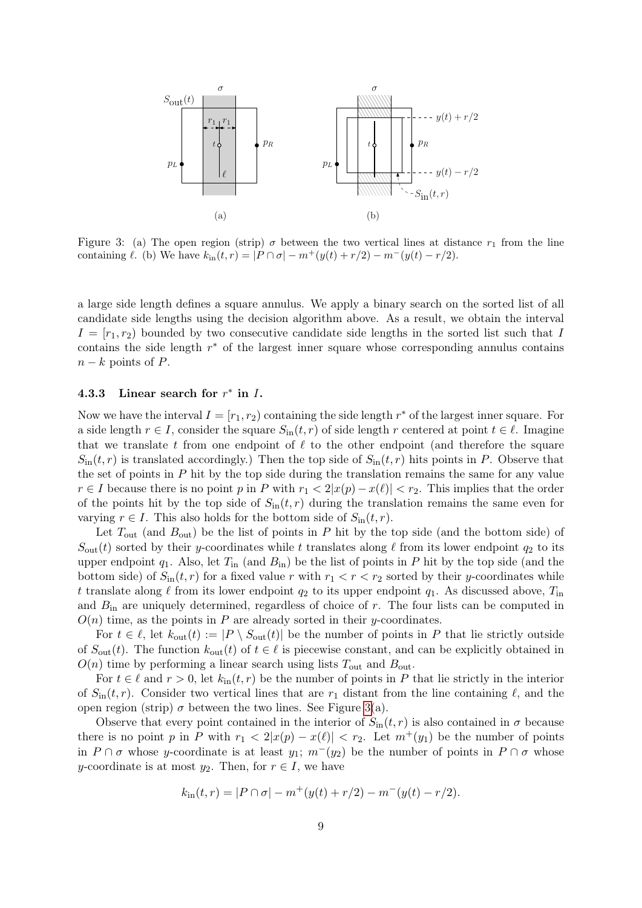

<span id="page-8-0"></span>Figure 3: (a) The open region (strip)  $\sigma$  between the two vertical lines at distance  $r_1$  from the line containing  $\ell$ . (b) We have  $k_{\text{in}}(t, r) = |P \cap \sigma| - m^+(y(t) + r/2) - m^-(y(t) - r/2)$ .

a large side length defines a square annulus. We apply a binary search on the sorted list of all candidate side lengths using the decision algorithm above. As a result, we obtain the interval  $I = [r_1, r_2]$  bounded by two consecutive candidate side lengths in the sorted list such that I contains the side length  $r^*$  of the largest inner square whose corresponding annulus contains  $n - k$  points of P.

### 4.3.3 Linear search for  $r^*$  in I.

Now we have the interval  $I = [r_1, r_2)$  containing the side length  $r^*$  of the largest inner square. For a side length  $r \in I$ , consider the square  $S_{\text{in}}(t, r)$  of side length r centered at point  $t \in \ell$ . Imagine that we translate t from one endpoint of  $\ell$  to the other endpoint (and therefore the square  $S_{\text{in}}(t, r)$  is translated accordingly.) Then the top side of  $S_{\text{in}}(t, r)$  hits points in P. Observe that the set of points in  $P$  hit by the top side during the translation remains the same for any value  $r \in I$  because there is no point p in P with  $r_1 < 2|x(p) - x(\ell)| < r_2$ . This implies that the order of the points hit by the top side of  $S_{\text{in}}(t, r)$  during the translation remains the same even for varying  $r \in I$ . This also holds for the bottom side of  $S_{\text{in}}(t, r)$ .

Let  $T_{\text{out}}$  (and  $B_{\text{out}}$ ) be the list of points in P hit by the top side (and the bottom side) of  $S_{\text{out}}(t)$  sorted by their y-coordinates while t translates along  $\ell$  from its lower endpoint  $q_2$  to its upper endpoint  $q_1$ . Also, let  $T_{\text{in}}$  (and  $B_{\text{in}}$ ) be the list of points in P hit by the top side (and the bottom side) of  $S_{\text{in}}(t, r)$  for a fixed value r with  $r_1 < r < r_2$  sorted by their y-coordinates while t translate along  $\ell$  from its lower endpoint  $q_2$  to its upper endpoint  $q_1$ . As discussed above,  $T_{\text{in}}$ and  $B_{\text{in}}$  are uniquely determined, regardless of choice of r. The four lists can be computed in  $O(n)$  time, as the points in P are already sorted in their y-coordinates.

For  $t \in \ell$ , let  $k_{\text{out}}(t) := |P \setminus S_{\text{out}}(t)|$  be the number of points in P that lie strictly outside of  $S_{\text{out}}(t)$ . The function  $k_{\text{out}}(t)$  of  $t \in \ell$  is piecewise constant, and can be explicitly obtained in  $O(n)$  time by performing a linear search using lists  $T_{\text{out}}$  and  $B_{\text{out}}$ .

For  $t \in \ell$  and  $r > 0$ , let  $k_{\text{in}}(t, r)$  be the number of points in P that lie strictly in the interior of  $S_{\text{in}}(t, r)$ . Consider two vertical lines that are  $r_1$  distant from the line containing  $\ell$ , and the open region (strip)  $\sigma$  between the two lines. See Figure [3\(](#page-8-0)a).

Observe that every point contained in the interior of  $S_{\text{in}}(t, r)$  is also contained in  $\sigma$  because there is no point p in P with  $r_1 < 2|x(p) - x(\ell)| < r_2$ . Let  $m^+(y_1)$  be the number of points in P ∩  $\sigma$  whose y-coordinate is at least y<sub>1</sub>;  $m^{-}(y_2)$  be the number of points in P ∩  $\sigma$  whose y-coordinate is at most  $y_2$ . Then, for  $r \in I$ , we have

$$
k_{\rm in}(t,r) = |P \cap \sigma| - m^+(y(t) + r/2) - m^-(y(t) - r/2).
$$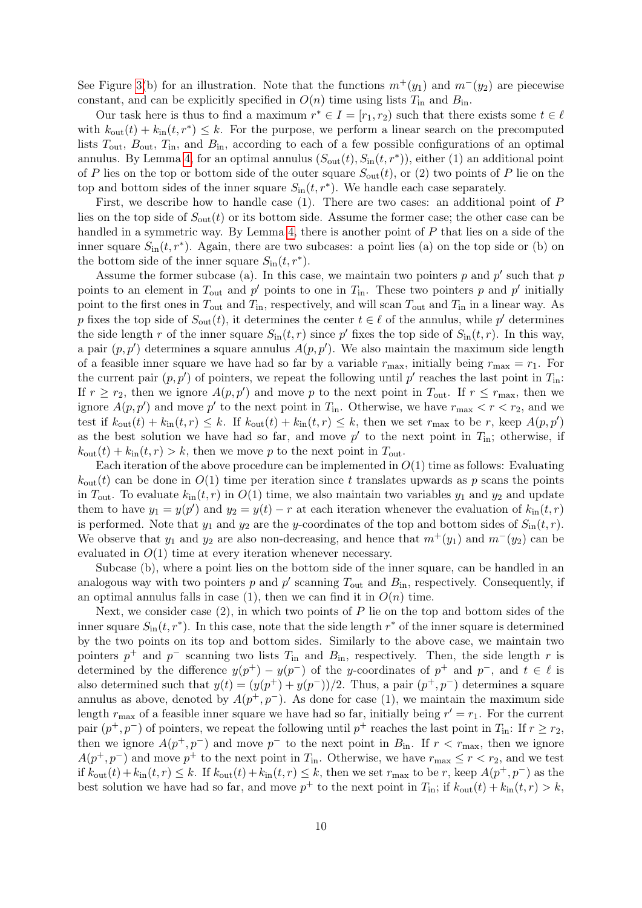See Figure [3\(](#page-8-0)b) for an illustration. Note that the functions  $m^+(y_1)$  and  $m^-(y_2)$  are piecewise constant, and can be explicitly specified in  $O(n)$  time using lists  $T_{\text{in}}$  and  $B_{\text{in}}$ .

Our task here is thus to find a maximum  $r^* \in I = [r_1, r_2)$  such that there exists some  $t \in \ell$ with  $k_{\text{out}}(t) + k_{\text{in}}(t, r^*) \leq k$ . For the purpose, we perform a linear search on the precomputed lists  $T_{\text{out}}$ ,  $B_{\text{out}}$ ,  $T_{\text{in}}$ , and  $B_{\text{in}}$ , according to each of a few possible configurations of an optimal annulus. By Lemma [4,](#page-5-1) for an optimal annulus  $(S_{out}(t), S_{in}(t, r^*))$ , either (1) an additional point of P lies on the top or bottom side of the outer square  $S_{\text{out}}(t)$ , or (2) two points of P lie on the top and bottom sides of the inner square  $S_{\text{in}}(t, r^*)$ . We handle each case separately.

First, we describe how to handle case (1). There are two cases: an additional point of P lies on the top side of  $S_{\text{out}}(t)$  or its bottom side. Assume the former case; the other case can be handled in a symmetric way. By Lemma [4,](#page-5-1) there is another point of P that lies on a side of the inner square  $S_{\text{in}}(t, r^*)$ . Again, there are two subcases: a point lies (a) on the top side or (b) on the bottom side of the inner square  $S_{\text{in}}(t, r^*)$ .

Assume the former subcase (a). In this case, we maintain two pointers  $p$  and  $p'$  such that  $p$ points to an element in  $T_{\text{out}}$  and  $p'$  points to one in  $T_{\text{in}}$ . These two pointers p and p' initially point to the first ones in  $T_{\text{out}}$  and  $T_{\text{in}}$ , respectively, and will scan  $T_{\text{out}}$  and  $T_{\text{in}}$  in a linear way. As p fixes the top side of  $S_{\text{out}}(t)$ , it determines the center  $t \in \ell$  of the annulus, while p' determines the side length r of the inner square  $S_{\text{in}}(t,r)$  since p' fixes the top side of  $S_{\text{in}}(t,r)$ . In this way, a pair  $(p, p')$  determines a square annulus  $A(p, p')$ . We also maintain the maximum side length of a feasible inner square we have had so far by a variable  $r_{\text{max}}$ , initially being  $r_{\text{max}} = r_1$ . For the current pair  $(p, p')$  of pointers, we repeat the following until  $p'$  reaches the last point in  $T_{\text{in}}$ : If  $r \ge r_2$ , then we ignore  $A(p, p')$  and move p to the next point in  $T_{\text{out}}$ . If  $r \le r_{\text{max}}$ , then we ignore  $A(p, p')$  and move p' to the next point in  $T_{\text{in}}$ . Otherwise, we have  $r_{\text{max}} < r < r_2$ , and we test if  $k_{\text{out}}(t) + k_{\text{in}}(t, r) \leq k$ . If  $k_{\text{out}}(t) + k_{\text{in}}(t, r) \leq k$ , then we set  $r_{\text{max}}$  to be r, keep  $A(p, p')$ as the best solution we have had so far, and move  $p'$  to the next point in  $T_{\text{in}}$ ; otherwise, if  $k_{\text{out}}(t) + k_{\text{in}}(t, r) > k$ , then we move p to the next point in  $T_{\text{out}}$ .

Each iteration of the above procedure can be implemented in  $O(1)$  time as follows: Evaluating  $k_{\text{out}}(t)$  can be done in  $O(1)$  time per iteration since t translates upwards as p scans the points in  $T_{\text{out}}$ . To evaluate  $k_{\text{in}}(t, r)$  in  $O(1)$  time, we also maintain two variables  $y_1$  and  $y_2$  and update them to have  $y_1 = y(p')$  and  $y_2 = y(t) - r$  at each iteration whenever the evaluation of  $k_{\text{in}}(t, r)$ is performed. Note that  $y_1$  and  $y_2$  are the y-coordinates of the top and bottom sides of  $S_{\text{in}}(t, r)$ . We observe that  $y_1$  and  $y_2$  are also non-decreasing, and hence that  $m^+(y_1)$  and  $m^-(y_2)$  can be evaluated in  $O(1)$  time at every iteration whenever necessary.

Subcase (b), where a point lies on the bottom side of the inner square, can be handled in an analogous way with two pointers p and  $p'$  scanning  $T_{\text{out}}$  and  $B_{\text{in}}$ , respectively. Consequently, if an optimal annulus falls in case (1), then we can find it in  $O(n)$  time.

Next, we consider case  $(2)$ , in which two points of P lie on the top and bottom sides of the inner square  $S_{\text{in}}(t, r^*)$ . In this case, note that the side length  $r^*$  of the inner square is determined by the two points on its top and bottom sides. Similarly to the above case, we maintain two pointers  $p^+$  and  $p^-$  scanning two lists  $T_{\text{in}}$  and  $B_{\text{in}}$ , respectively. Then, the side length r is determined by the difference  $y(p^+) - y(p^-)$  of the y-coordinates of  $p^+$  and  $p^-$ , and  $t \in \ell$  is also determined such that  $y(t) = (y(p^+) + y(p^-))/2$ . Thus, a pair  $(p^+, p^-)$  determines a square annulus as above, denoted by  $A(p^+, p^-)$ . As done for case (1), we maintain the maximum side length  $r_{\text{max}}$  of a feasible inner square we have had so far, initially being  $r' = r_1$ . For the current pair  $(p^+, p^-)$  of pointers, we repeat the following until  $p^+$  reaches the last point in  $T_{\text{in}}$ : If  $r \ge r_2$ , then we ignore  $A(p^+, p^-)$  and move  $p^-$  to the next point in  $B_{\text{in}}$ . If  $r < r_{\text{max}}$ , then we ignore  $A(p^+, p^-)$  and move  $p^+$  to the next point in  $T_{\text{in}}$ . Otherwise, we have  $r_{\text{max}} \le r < r_2$ , and we test if  $k_{\text{out}}(t) + k_{\text{in}}(t, r) \leq k$ . If  $k_{\text{out}}(t) + k_{\text{in}}(t, r) \leq k$ , then we set  $r_{\text{max}}$  to be r, keep  $A(p^+, p^-)$  as the best solution we have had so far, and move  $p^+$  to the next point in  $T_{\text{in}}$ ; if  $k_{\text{out}}(t) + k_{\text{in}}(t, r) > k$ ,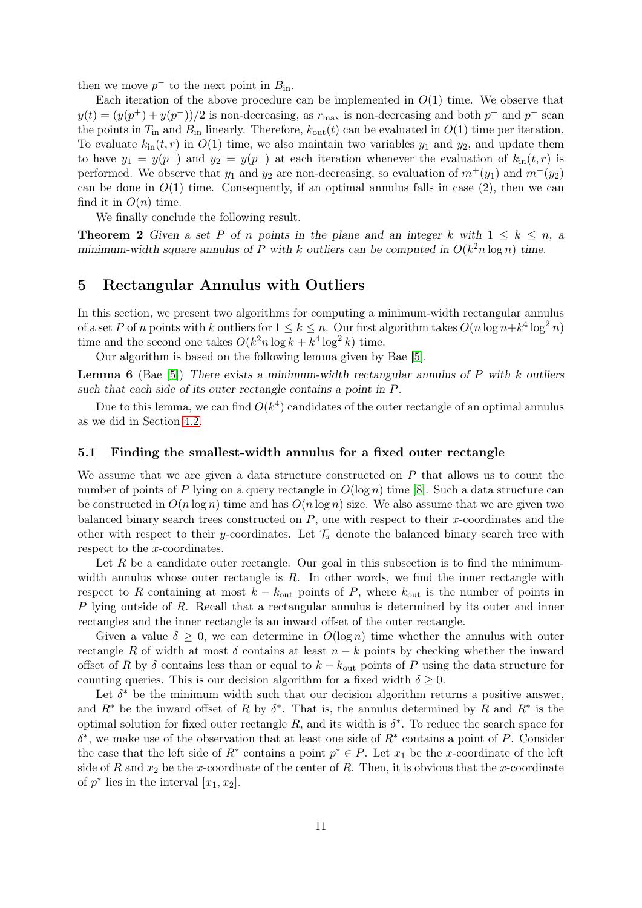then we move  $p^-$  to the next point in  $B_{\text{in}}$ .

Each iteration of the above procedure can be implemented in  $O(1)$  time. We observe that  $y(t) = (y(p^+) + y(p^-))/2$  is non-decreasing, as  $r_{\text{max}}$  is non-decreasing and both  $p^+$  and  $p^-$  scan the points in  $T_{\text{in}}$  and  $B_{\text{in}}$  linearly. Therefore,  $k_{\text{out}}(t)$  can be evaluated in  $O(1)$  time per iteration. To evaluate  $k_{\text{in}}(t, r)$  in  $O(1)$  time, we also maintain two variables  $y_1$  and  $y_2$ , and update them to have  $y_1 = y(p^+)$  and  $y_2 = y(p^-)$  at each iteration whenever the evaluation of  $k_{\rm in}(t,r)$  is performed. We observe that  $y_1$  and  $y_2$  are non-decreasing, so evaluation of  $m^+(y_1)$  and  $m^-(y_2)$ can be done in  $O(1)$  time. Consequently, if an optimal annulus falls in case (2), then we can find it in  $O(n)$  time.

We finally conclude the following result.

**Theorem 2** Given a set P of n points in the plane and an integer k with  $1 \leq k \leq n$ , a minimum-width square annulus of P with k outliers can be computed in  $O(k^2 n \log n)$  time.

# <span id="page-10-1"></span>5 Rectangular Annulus with Outliers

In this section, we present two algorithms for computing a minimum-width rectangular annulus of a set P of n points with k outliers for  $1 \leq k \leq n$ . Our first algorithm takes  $O(n \log n + k^4 \log^2 n)$ time and the second one takes  $O(k^2 n \log k + k^4 \log^2 k)$  time.

Our algorithm is based on the following lemma given by Bae [\[5\]](#page-12-10).

<span id="page-10-0"></span>**Lemma 6** (Bae [\[5\]](#page-12-10)) There exists a minimum-width rectangular annulus of P with k outliers such that each side of its outer rectangle contains a point in P.

Due to this lemma, we can find  $O(k^4)$  candidates of the outer rectangle of an optimal annulus as we did in Section [4.2.](#page-6-1)

#### 5.1 Finding the smallest-width annulus for a fixed outer rectangle

We assume that we are given a data structure constructed on  $P$  that allows us to count the number of points of P lying on a query rectangle in  $O(\log n)$  time [\[8\]](#page-12-13). Such a data structure can be constructed in  $O(n \log n)$  time and has  $O(n \log n)$  size. We also assume that we are given two balanced binary search trees constructed on  $P$ , one with respect to their x-coordinates and the other with respect to their y-coordinates. Let  $\mathcal{T}_x$  denote the balanced binary search tree with respect to the x-coordinates.

Let  $R$  be a candidate outer rectangle. Our goal in this subsection is to find the minimumwidth annulus whose outer rectangle is  $R$ . In other words, we find the inner rectangle with respect to R containing at most  $k - k_{\text{out}}$  points of P, where  $k_{\text{out}}$  is the number of points in P lying outside of R. Recall that a rectangular annulus is determined by its outer and inner rectangles and the inner rectangle is an inward offset of the outer rectangle.

Given a value  $\delta \geq 0$ , we can determine in  $O(\log n)$  time whether the annulus with outer rectangle R of width at most  $\delta$  contains at least  $n - k$  points by checking whether the inward offset of R by  $\delta$  contains less than or equal to  $k - k_{\text{out}}$  points of P using the data structure for counting queries. This is our decision algorithm for a fixed width  $\delta \geq 0$ .

Let  $\delta^*$  be the minimum width such that our decision algorithm returns a positive answer, and  $R^*$  be the inward offset of R by  $\delta^*$ . That is, the annulus determined by R and  $R^*$  is the optimal solution for fixed outer rectangle R, and its width is  $\delta^*$ . To reduce the search space for  $\delta^*$ , we make use of the observation that at least one side of  $R^*$  contains a point of P. Consider the case that the left side of  $R^*$  contains a point  $p^* \in P$ . Let  $x_1$  be the x-coordinate of the left side of R and  $x_2$  be the x-coordinate of the center of R. Then, it is obvious that the x-coordinate of  $p^*$  lies in the interval  $[x_1, x_2]$ .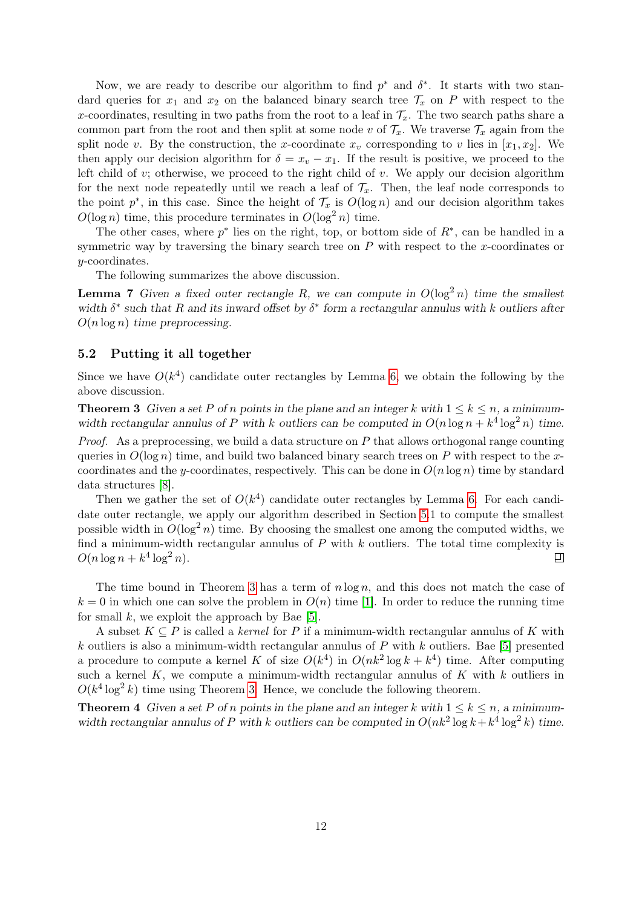Now, we are ready to describe our algorithm to find  $p^*$  and  $\delta^*$ . It starts with two standard queries for  $x_1$  and  $x_2$  on the balanced binary search tree  $\mathcal{T}_x$  on P with respect to the x-coordinates, resulting in two paths from the root to a leaf in  $\mathcal{T}_x$ . The two search paths share a common part from the root and then split at some node v of  $\mathcal{T}_x$ . We traverse  $\mathcal{T}_x$  again from the split node v. By the construction, the x-coordinate  $x<sub>v</sub>$  corresponding to v lies in  $[x_1, x_2]$ . We then apply our decision algorithm for  $\delta = x_v - x_1$ . If the result is positive, we proceed to the left child of  $v$ ; otherwise, we proceed to the right child of  $v$ . We apply our decision algorithm for the next node repeatedly until we reach a leaf of  $\mathcal{T}_x$ . Then, the leaf node corresponds to the point  $p^*$ , in this case. Since the height of  $\mathcal{T}_x$  is  $O(\log n)$  and our decision algorithm takes  $O(\log n)$  time, this procedure terminates in  $O(\log^2 n)$  time.

The other cases, where  $p^*$  lies on the right, top, or bottom side of  $R^*$ , can be handled in a symmetric way by traversing the binary search tree on  $P$  with respect to the x-coordinates or y-coordinates.

The following summarizes the above discussion.

**Lemma 7** Given a fixed outer rectangle R, we can compute in  $O(\log^2 n)$  time the smallest width  $\delta^*$  such that R and its inward offset by  $\delta^*$  form a rectangular annulus with k outliers after  $O(n \log n)$  time preprocessing.

### 5.2 Putting it all together

Since we have  $O(k^4)$  candidate outer rectangles by Lemma [6,](#page-10-0) we obtain the following by the above discussion.

<span id="page-11-0"></span>**Theorem 3** Given a set P of n points in the plane and an integer k with  $1 \leq k \leq n$ , a minimumwidth rectangular annulus of P with k outliers can be computed in  $O(n \log n + k^4 \log^2 n)$  time.

*Proof.* As a preprocessing, we build a data structure on  $P$  that allows orthogonal range counting queries in  $O(\log n)$  time, and build two balanced binary search trees on P with respect to the xcoordinates and the y-coordinates, respectively. This can be done in  $O(n \log n)$  time by standard data structures [\[8\]](#page-12-13).

Then we gather the set of  $O(k^4)$  candidate outer rectangles by Lemma [6.](#page-10-0) For each candidate outer rectangle, we apply our algorithm described in Section [5.](#page-10-1)1 to compute the smallest possible width in  $O(\log^2 n)$  time. By choosing the smallest one among the computed widths, we find a minimum-width rectangular annulus of  $P$  with  $k$  outliers. The total time complexity is  $O(n \log n + k^4 \log^2 n).$  $\Box$ 

The time bound in Theorem [3](#page-11-0) has a term of  $n \log n$ , and this does not match the case of  $k = 0$  in which one can solve the problem in  $O(n)$  time [\[1\]](#page-12-6). In order to reduce the running time for small  $k$ , we exploit the approach by Bae [\[5\]](#page-12-10).

A subset  $K \subseteq P$  is called a *kernel* for P if a minimum-width rectangular annulus of K with k outliers is also a minimum-width rectangular annulus of  $P$  with  $k$  outliers. Bae [\[5\]](#page-12-10) presented a procedure to compute a kernel K of size  $O(k^4)$  in  $O(nk^2 \log k + k^4)$  time. After computing such a kernel  $K$ , we compute a minimum-width rectangular annulus of  $K$  with  $k$  outliers in  $O(k^4 \log^2 k)$  time using Theorem [3.](#page-11-0) Hence, we conclude the following theorem.

**Theorem 4** Given a set P of n points in the plane and an integer k with  $1 \leq k \leq n$ , a minimumwidth rectangular annulus of P with k outliers can be computed in  $O(nk^2 \log k + k^4 \log^2 k)$  time.